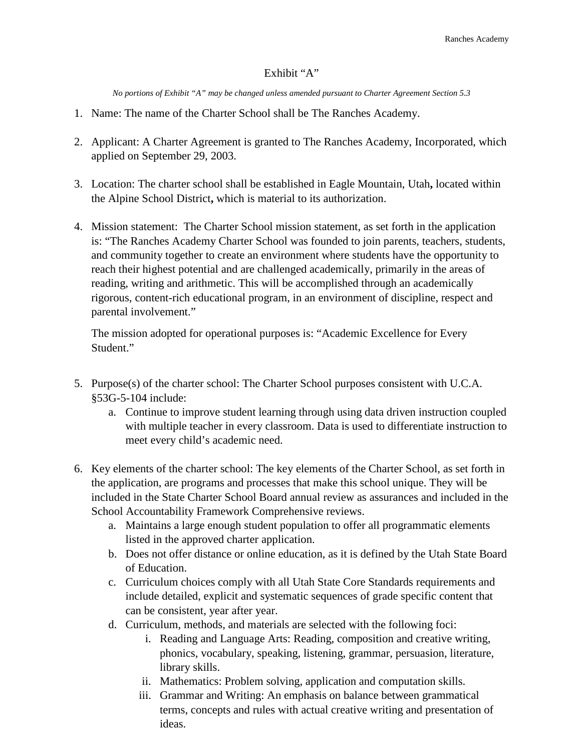## Exhibit "A"

*No portions of Exhibit "A" may be changed unless amended pursuant to Charter Agreement Section 5.3*

- 1. Name: The name of the Charter School shall be The Ranches Academy.
- 2. Applicant: A Charter Agreement is granted to The Ranches Academy, Incorporated, which applied on September 29, 2003.
- 3. Location: The charter school shall be established in Eagle Mountain, Utah**,** located within the Alpine School District**,** which is material to its authorization.
- 4. Mission statement: The Charter School mission statement, as set forth in the application is: "The Ranches Academy Charter School was founded to join parents, teachers, students, and community together to create an environment where students have the opportunity to reach their highest potential and are challenged academically, primarily in the areas of reading, writing and arithmetic. This will be accomplished through an academically rigorous, content-rich educational program, in an environment of discipline, respect and parental involvement."

The mission adopted for operational purposes is: "Academic Excellence for Every Student."

- 5. Purpose(s) of the charter school: The Charter School purposes consistent with U.C.A. §53G-5-104 include:
	- a. Continue to improve student learning through using data driven instruction coupled with multiple teacher in every classroom. Data is used to differentiate instruction to meet every child's academic need.
- 6. Key elements of the charter school: The key elements of the Charter School, as set forth in the application, are programs and processes that make this school unique. They will be included in the State Charter School Board annual review as assurances and included in the School Accountability Framework Comprehensive reviews.
	- a. Maintains a large enough student population to offer all programmatic elements listed in the approved charter application.
	- b. Does not offer distance or online education, as it is defined by the Utah State Board of Education.
	- c. Curriculum choices comply with all Utah State Core Standards requirements and include detailed, explicit and systematic sequences of grade specific content that can be consistent, year after year.
	- d. Curriculum, methods, and materials are selected with the following foci:
		- i. Reading and Language Arts: Reading, composition and creative writing, phonics, vocabulary, speaking, listening, grammar, persuasion, literature, library skills.
		- ii. Mathematics: Problem solving, application and computation skills.
		- iii. Grammar and Writing: An emphasis on balance between grammatical terms, concepts and rules with actual creative writing and presentation of ideas.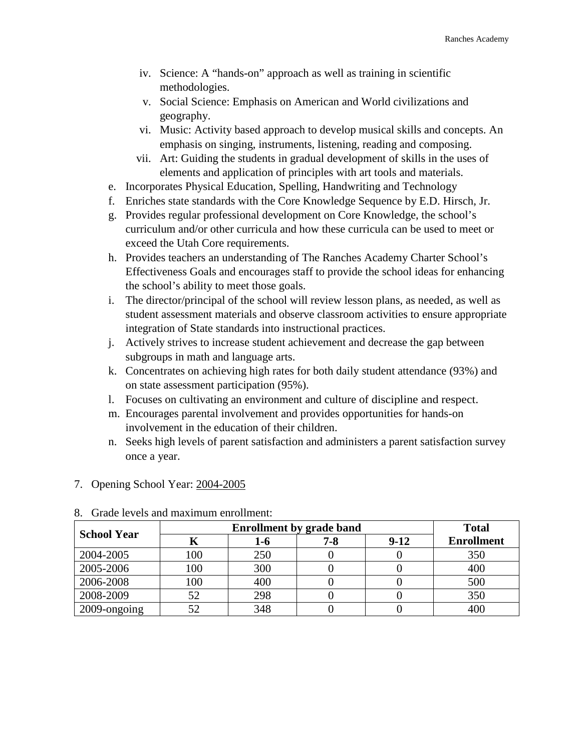- iv. Science: A "hands-on" approach as well as training in scientific methodologies.
- v. Social Science: Emphasis on American and World civilizations and geography.
- vi. Music: Activity based approach to develop musical skills and concepts. An emphasis on singing, instruments, listening, reading and composing.
- vii. Art: Guiding the students in gradual development of skills in the uses of elements and application of principles with art tools and materials.
- e. Incorporates Physical Education, Spelling, Handwriting and Technology
- f. Enriches state standards with the Core Knowledge Sequence by E.D. Hirsch, Jr.
- g. Provides regular professional development on Core Knowledge, the school's curriculum and/or other curricula and how these curricula can be used to meet or exceed the Utah Core requirements.
- h. Provides teachers an understanding of The Ranches Academy Charter School's Effectiveness Goals and encourages staff to provide the school ideas for enhancing the school's ability to meet those goals.
- i. The director/principal of the school will review lesson plans, as needed, as well as student assessment materials and observe classroom activities to ensure appropriate integration of State standards into instructional practices.
- j. Actively strives to increase student achievement and decrease the gap between subgroups in math and language arts.
- k. Concentrates on achieving high rates for both daily student attendance (93%) and on state assessment participation (95%).
- l. Focuses on cultivating an environment and culture of discipline and respect.
- m. Encourages parental involvement and provides opportunities for hands-on involvement in the education of their children.
- n. Seeks high levels of parent satisfaction and administers a parent satisfaction survey once a year.

## 8. Grade levels and maximum enrollment: **School Year Enrollment by grade band Total Total Enrollment by grade band Enrollment by grade band Enrollment K 1-6 7-8 9-12 Enrollment** 2004-2005 100 250 0 0 350 2005-2006 | 100 | 300 | 0 | 0 | 400 2006-2008 | 100 | 400 | 0 | 0 | 500 2008-2009 | 52 | 298 | 0 | 0 | 350 2009-ongoing 52 348 0 0 0 400

## 7. Opening School Year: 2004-2005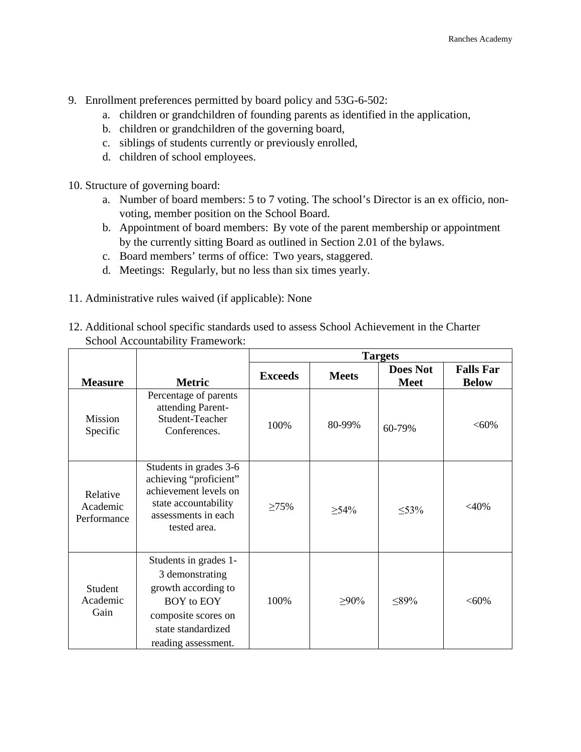- 9. Enrollment preferences permitted by board policy and 53G-6-502:
	- a. children or grandchildren of founding parents as identified in the application,
	- b. children or grandchildren of the governing board,
	- c. siblings of students currently or previously enrolled,
	- d. children of school employees.
- 10. Structure of governing board:
	- a. Number of board members: 5 to 7 voting. The school's Director is an ex officio, nonvoting, member position on the School Board.
	- b. Appointment of board members: By vote of the parent membership or appointment by the currently sitting Board as outlined in Section 2.01 of the bylaws.
	- c. Board members' terms of office: Two years, staggered.
	- d. Meetings: Regularly, but no less than six times yearly.
- 11. Administrative rules waived (if applicable): None
- 12. Additional school specific standards used to assess School Achievement in the Charter School Accountability Framework:

| <b>Measure</b>                      | <b>Metric</b>                                                                                                                                            | <b>Exceeds</b> | <b>Meets</b> | <b>Does Not</b><br><b>Meet</b> | <b>Falls Far</b><br><b>Below</b> |
|-------------------------------------|----------------------------------------------------------------------------------------------------------------------------------------------------------|----------------|--------------|--------------------------------|----------------------------------|
| <b>Mission</b><br>Specific          | Percentage of parents<br>attending Parent-<br>Student-Teacher<br>Conferences.                                                                            | 100%           | 80-99%       | 60-79%                         | $< 60\%$                         |
| Relative<br>Academic<br>Performance | Students in grades 3-6<br>achieving "proficient"<br>achievement levels on<br>state accountability<br>assessments in each<br>tested area.                 | $\geq 75\%$    | $\geq 54\%$  | $\leq 53\%$                    | $<$ 40%                          |
| Student<br>Academic<br>Gain         | Students in grades 1-<br>3 demonstrating<br>growth according to<br><b>BOY</b> to EOY<br>composite scores on<br>state standardized<br>reading assessment. | 100%           | $\geq 90\%$  | $\leq 89\%$                    | $< 60\%$                         |